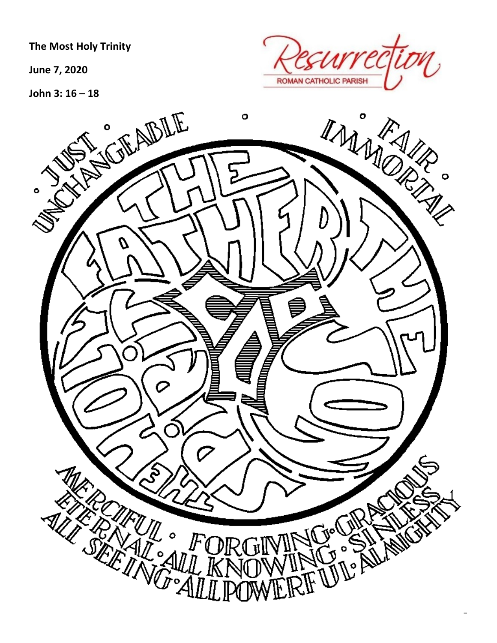**The Most Holy Trinity** 

**June 7, 2020**

**John 3: 16 – 18**



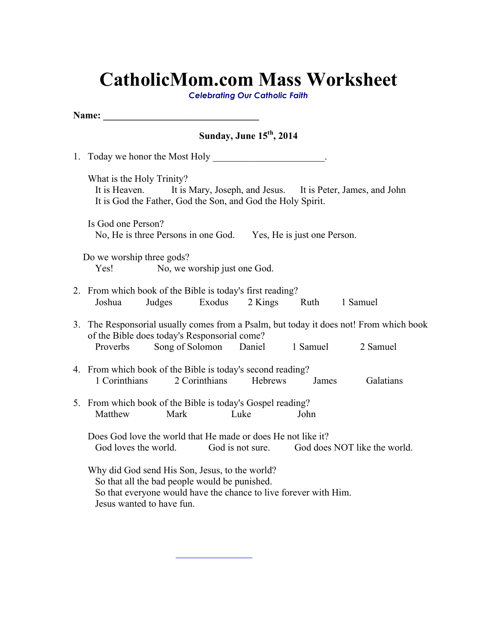### **CatholicMom.com Mass Worksheet**

*Celebrating Our Catholic Faith*

| Name:                                                                                                                                                                                                |  |  |  |  |  |  |  |  |  |  |
|------------------------------------------------------------------------------------------------------------------------------------------------------------------------------------------------------|--|--|--|--|--|--|--|--|--|--|
| Sunday, June 15 <sup>th</sup> , 2014                                                                                                                                                                 |  |  |  |  |  |  |  |  |  |  |
|                                                                                                                                                                                                      |  |  |  |  |  |  |  |  |  |  |
| What is the Holy Trinity?<br>It is Heaven.<br>It is Mary, Joseph, and Jesus. It is Peter, James, and John<br>It is God the Father, God the Son, and God the Holy Spirit.                             |  |  |  |  |  |  |  |  |  |  |
| Is God one Person?<br>No, He is three Persons in one God. Yes, He is just one Person.                                                                                                                |  |  |  |  |  |  |  |  |  |  |
| Do we worship three gods?<br>Yes!<br>No, we worship just one God.                                                                                                                                    |  |  |  |  |  |  |  |  |  |  |
| 2. From which book of the Bible is today's first reading?<br>Judges<br>Exodus<br>2 Kings<br>Ruth 1 Samuel<br>Joshua                                                                                  |  |  |  |  |  |  |  |  |  |  |
| 3. The Responsorial usually comes from a Psalm, but today it does not! From which book<br>of the Bible does today's Responsorial come?<br>Song of Solomon Daniel<br>1 Samuel<br>2 Samuel<br>Proverbs |  |  |  |  |  |  |  |  |  |  |
| 4. From which book of the Bible is today's second reading?<br>1 Corinthians<br>2 Corinthians<br>Hebrews<br>Galatians<br>James                                                                        |  |  |  |  |  |  |  |  |  |  |
| 5. From which book of the Bible is today's Gospel reading?<br>Matthew<br>Mark<br>Luke<br>John                                                                                                        |  |  |  |  |  |  |  |  |  |  |
| Does God love the world that He made or does He not like it?<br>God loves the world. God is not sure. God does NOT like the world.                                                                   |  |  |  |  |  |  |  |  |  |  |
| Why did God send His Son, Jesus, to the world?<br>So that all the bad people would be punished.<br>So that everyone would have the chance to live forever with Him.<br>Jesus wanted to have fun.     |  |  |  |  |  |  |  |  |  |  |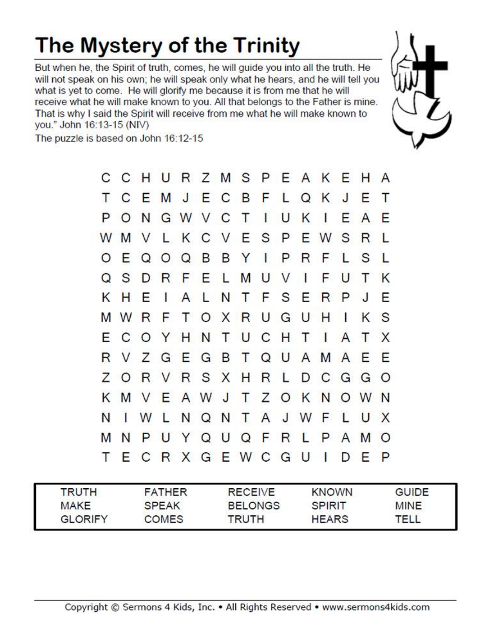## The Mystery of the Trinity

But when he, the Spirit of truth, comes, he will guide you into all the truth. He will not speak on his own; he will speak only what he hears, and he will tell you what is yet to come. He will glorify me because it is from me that he will receive what he will make known to you. All that belongs to the Father is mine. That is why I said the Spirit will receive from me what he will make known to you." John 16:13-15 (NIV)





| <b>TRUTH</b>   | <b>FATHER</b> | <b>RECEIVE</b> | <b>KNOWN</b>  | <b>GUIDE</b> |
|----------------|---------------|----------------|---------------|--------------|
| <b>MAKE</b>    | <b>SPEAK</b>  | <b>BELONGS</b> | <b>SPIRIT</b> | <b>MINE</b>  |
| <b>GLORIFY</b> | <b>COMES</b>  | TRUTH          | <b>HEARS</b>  | TELL         |

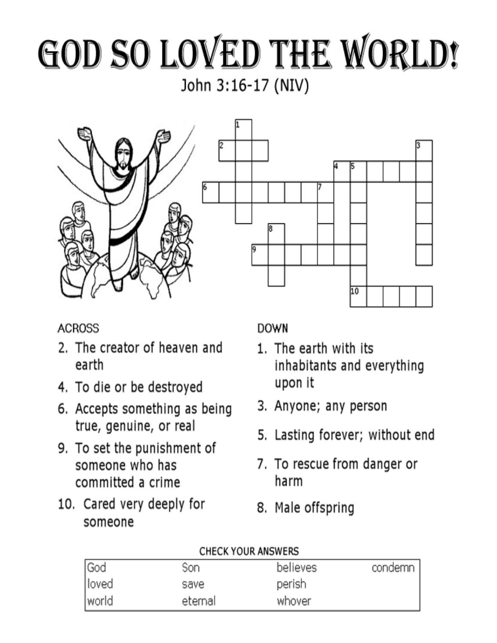# GOD SO LOVED THE WORLD! John 3:16-17 (NIV)





#### **ACROSS**

- 2. The creator of heaven and earth
- 4. To die or be destroyed
- 6. Accepts something as being true, genuine, or real
- 9. To set the punishment of someone who has committed a crime
- 10. Cared very deeply for someone

#### **DOWN**

- 1. The earth with its inhabitants and everything upon it
- 3. Anyone; any person
- 5. Lasting forever; without end
- 7. To rescue from danger or harm
- 8. Male offspring

#### **CHECK YOUR ANSWERS**

| <b>God</b> | Son     | believes | condemn |
|------------|---------|----------|---------|
| loved      | save    | perish   |         |
| world      | eternal | whover   |         |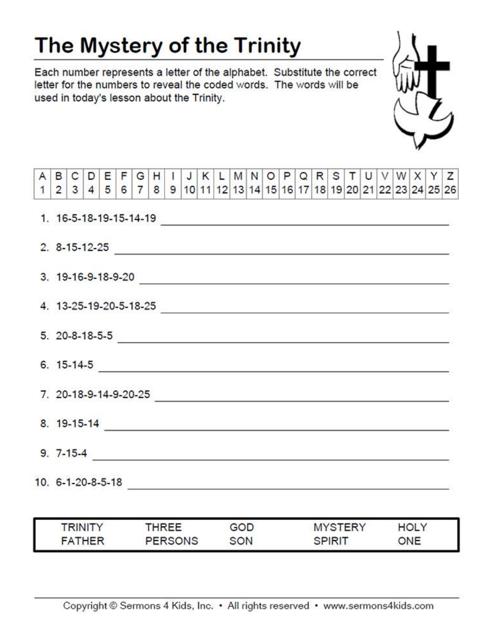### The Mystery of the Trinity

Each number represents a letter of the alphabet. Substitute the correct letter for the numbers to reveal the coded words. The words will be used in today's lesson about the Trinity.



| <b>RINITY</b> | <b>HREE</b>    | GOD | <b>MYSTERY</b> | HOLY |
|---------------|----------------|-----|----------------|------|
| <b>FATHER</b> | <b>PERSONS</b> | SON | SPIRIT         | ONE  |

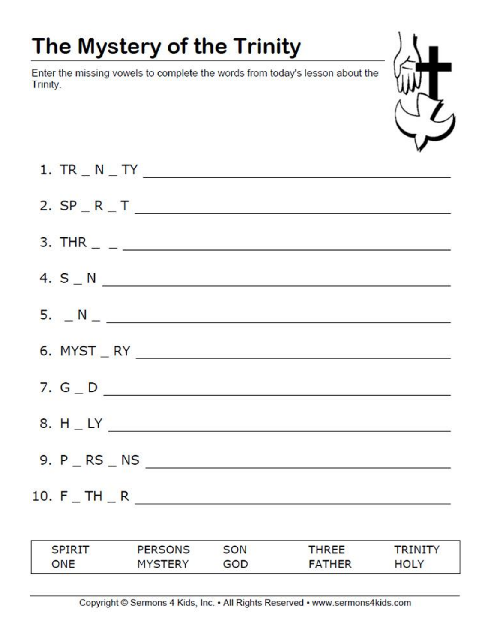## The Mystery of the Trinity

Enter the missing vowels to complete the words from today's lesson about the Trinity.



| 1. $TR_ N_T T'$                                                                |
|--------------------------------------------------------------------------------|
| 2. $SP - R - T$                                                                |
| 3. THR $\_$ $\_$                                                               |
| 4. $S_N$ $N_{\text{max}}$                                                      |
| $5.  N_ -  N_ - $                                                              |
|                                                                                |
| 7. $G - D$                                                                     |
|                                                                                |
|                                                                                |
| 10. $F_T H_R$<br>$\mathcal{L}^{\text{max}}$ , where $\mathcal{L}^{\text{max}}$ |

| <b>SPIRIT</b> | <b>PERSONS</b> | SON | THREE         | <b>RINITY</b> |
|---------------|----------------|-----|---------------|---------------|
| ONE           | MYSTERY        | GOD | <b>FATHER</b> | HOLY          |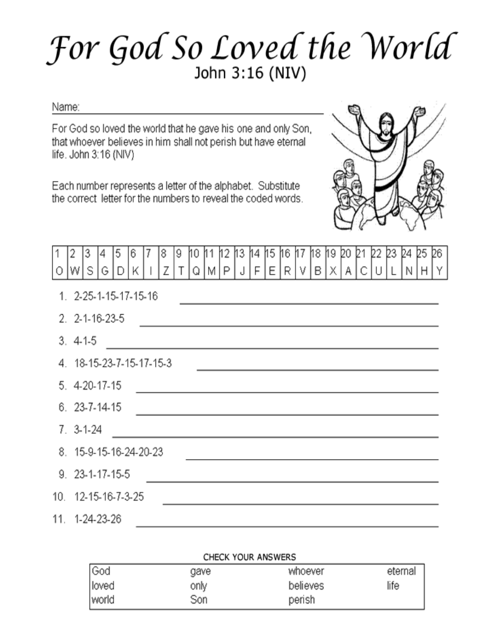## For God So Loved the World John 3:16 (NIV)

#### Name:

For God so loved the world that he gave his one and only Son, that whoever believes in him shall not perish but have eternal life. John 3:16 (NIV)

Each number represents a letter of the alphabet. Substitute the correct letter for the numbers to reveal the coded words.



| 1  2  3  4  5  6  7  8  9  10  11  12  13  14  15  16  17  18  19  20  21  22  23  24  25  26  <br> 0  W  S  G  D  K       Z   T  Q  M   P    J    F    E    R    V    B    X    A    C    U    L    N    H    Y |  |  |  |  |  |  |  |  |  |  |  |  |
|------------------------------------------------------------------------------------------------------------------------------------------------------------------------------------------------------------------|--|--|--|--|--|--|--|--|--|--|--|--|
|                                                                                                                                                                                                                  |  |  |  |  |  |  |  |  |  |  |  |  |

the control of the control of the control of the control of the control of the control of

- 1. 2-25-1-15-17-15-16
- $3.4-1-5$ 4 18-15-23-7-15-17-15-3 the control of the control of the control of the control of the control of 5. 4-20-17-15
- $6.23 7 14 15$  $7.3-1-24$ 8. 15-9-15-16-24-20-23 <u> 1989 - Johann Harry Harry Harry Harry Harry Harry Harry Harry Harry Harry Harry Harry Harry Harry Harry Harry</u> 9. 23-1-17-15-5 <u> 1989 - John Harry Harry Harry Harry Harry Harry Harry Harry Harry Harry Harry Harry Harry Harry Harry Harry H</u> 10. 12-15-16-7-3-25 11.  $1-24-23-26$

#### **CHECK YOUR ANSWERS**

| God   | gave | whoever  | eternal |
|-------|------|----------|---------|
| loved | only | believes | life    |
| world | Son  | perish   |         |